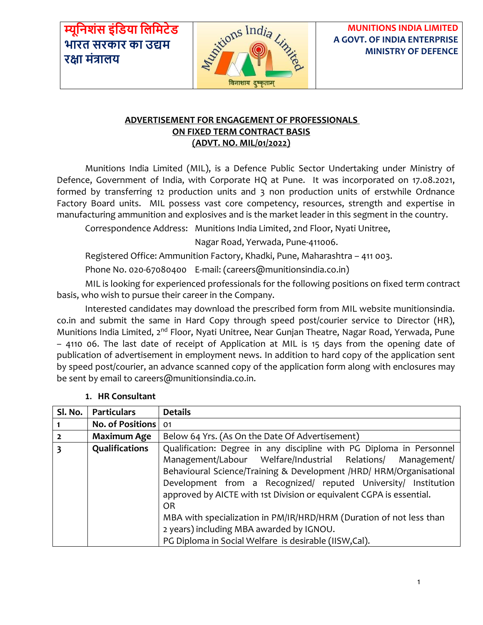**म्यूनिशंस इंनिया निनिटेि भारत सरकार का उद्यि रक्षा िंत्रािय**



**MUNITIONS INDIA LIMITED A GOVT. OF INDIA ENTERPRISE MINISTRY OF DEFENCE**

### **ADVERTISEMENT FOR ENGAGEMENT OF PROFESSIONALS ON FIXED TERM CONTRACT BASIS (ADVT. NO. MIL/01/2022)**

Munitions India Limited (MIL), is a Defence Public Sector Undertaking under Ministry of Defence, Government of India, with Corporate HQ at Pune. It was incorporated on 17.08.2021, formed by transferring 12 production units and 3 non production units of erstwhile Ordnance Factory Board units. MIL possess vast core competency, resources, strength and expertise in manufacturing ammunition and explosives and is the market leader in this segment in the country.

Correspondence Address: Munitions India Limited, 2nd Floor, Nyati Unitree,

Nagar Road, Yerwada, Pune-411006.

Registered Office: Ammunition Factory, Khadki, Pune, Maharashtra – 411 003.

Phone No. 020-67080400 E-mail: (career[s@munitionsindia.co.in\)](mailto:hr@munitionsindia.co.in)

MIL is looking for experienced professionals for the following positions on fixed term contract basis, who wish to pursue their career in the Company.

Interested candidates may download the prescribed form from MIL website munitionsindia. co.in and submit the same in Hard Copy through speed post/courier service to Director (HR), Munitions India Limited, 2<sup>nd</sup> Floor, Nyati Unitree, Near Gunjan Theatre, Nagar Road, Yerwada, Pune – 4110 06. The last date of receipt of Application at MIL is 15 days from the opening date of publication of advertisement in employment news. In addition to hard copy of the application sent by speed post/courier, an advance scanned copy of the application form along with enclosures may be sent by email to career[s@munitionsindia.co.in.](mailto:hr@munitionsindia.co.in)

| Sl. No.        | <b>Particulars</b>  | <b>Details</b>                                                       |  |  |  |  |  |
|----------------|---------------------|----------------------------------------------------------------------|--|--|--|--|--|
|                | No. of Positions 01 |                                                                      |  |  |  |  |  |
| $\overline{2}$ | Maximum Age         | Below 64 Yrs. (As On the Date Of Advertisement)                      |  |  |  |  |  |
| 3              | Qualifications      | Qualification: Degree in any discipline with PG Diploma in Personnel |  |  |  |  |  |
|                |                     | Management/Labour Welfare/Industrial Relations/ Management/          |  |  |  |  |  |
|                |                     | Behavioural Science/Training & Development /HRD/ HRM/Organisational  |  |  |  |  |  |
|                |                     | Development from a Recognized/ reputed University/ Institution       |  |  |  |  |  |
|                |                     | approved by AICTE with 1st Division or equivalent CGPA is essential. |  |  |  |  |  |
|                |                     | 0R                                                                   |  |  |  |  |  |
|                |                     | MBA with specialization in PM/IR/HRD/HRM (Duration of not less than  |  |  |  |  |  |
|                |                     | 2 years) including MBA awarded by IGNOU.                             |  |  |  |  |  |
|                |                     | PG Diploma in Social Welfare is desirable (IISW,Cal).                |  |  |  |  |  |

### **1. HR Consultant**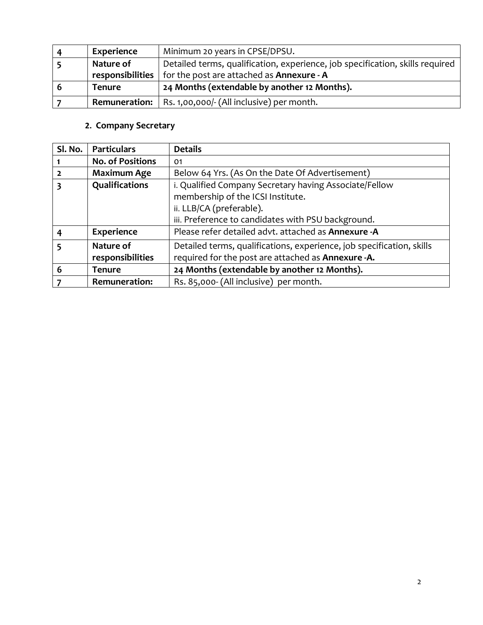|   | <b>Experience</b>                                                                          | Minimum 20 years in CPSE/DPSU.                                   |
|---|--------------------------------------------------------------------------------------------|------------------------------------------------------------------|
|   | Detailed terms, qualification, experience, job specification, skills required<br>Nature of |                                                                  |
|   | responsibilities                                                                           | for the post are attached as <b>Annexure - A</b>                 |
| ь | <b>Tenure</b>                                                                              | 24 Months (extendable by another 12 Months).                     |
|   |                                                                                            | <b>Remuneration:</b>   Rs. 1,00,000/- (All inclusive) per month. |

# **2. Company Secretary**

| Sl. No. | <b>Particulars</b>      | <b>Details</b>                                                        |  |  |  |  |  |
|---------|-------------------------|-----------------------------------------------------------------------|--|--|--|--|--|
|         | <b>No. of Positions</b> | 01                                                                    |  |  |  |  |  |
|         | <b>Maximum Age</b>      | Below 64 Yrs. (As On the Date Of Advertisement)                       |  |  |  |  |  |
| 3       | Qualifications          | i. Qualified Company Secretary having Associate/Fellow                |  |  |  |  |  |
|         |                         | membership of the ICSI Institute.                                     |  |  |  |  |  |
|         |                         | ii. LLB/CA (preferable).                                              |  |  |  |  |  |
|         |                         | iii. Preference to candidates with PSU background.                    |  |  |  |  |  |
|         | <b>Experience</b>       | Please refer detailed advt. attached as Annexure -A                   |  |  |  |  |  |
| 5       | Nature of               | Detailed terms, qualifications, experience, job specification, skills |  |  |  |  |  |
|         | responsibilities        | required for the post are attached as Annexure -A.                    |  |  |  |  |  |
| 6       | <b>Tenure</b>           | 24 Months (extendable by another 12 Months).                          |  |  |  |  |  |
|         | <b>Remuneration:</b>    | Rs. 85,000- (All inclusive) per month.                                |  |  |  |  |  |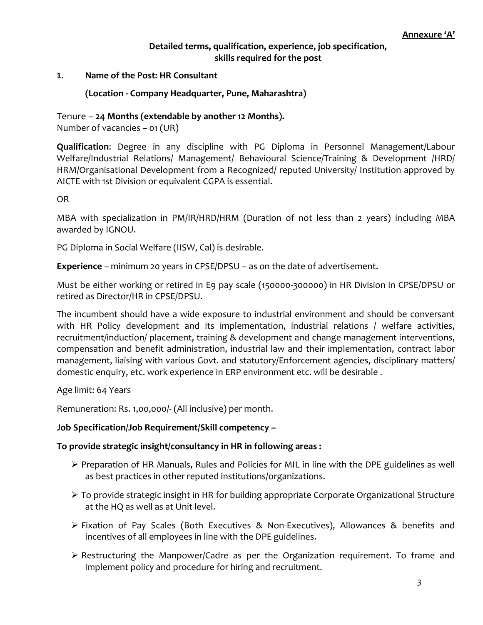### **Detailed terms, qualification, experience, job specification, skills required for the post**

#### **1. Name of the Post: HR Consultant**

### **(Location - Company Headquarter, Pune, Maharashtra)**

### Tenure – **24 Months (extendable by another 12 Months).**

Number of vacancies – 01 (UR)

**Qualification**: Degree in any discipline with PG Diploma in Personnel Management/Labour Welfare/Industrial Relations/ Management/ Behavioural Science/Training & Development /HRD/ HRM/Organisational Development from a Recognized/ reputed University/ Institution approved by AICTE with 1st Division or equivalent CGPA is essential.

OR

MBA with specialization in PM/IR/HRD/HRM (Duration of not less than 2 years) including MBA awarded by IGNOU.

PG Diploma in Social Welfare (IISW, Cal) is desirable.

**Experience** – minimum 20 years in CPSE/DPSU – as on the date of advertisement.

Must be either working or retired in E9 pay scale (150000-300000) in HR Division in CPSE/DPSU or retired as Director/HR in CPSE/DPSU.

The incumbent should have a wide exposure to industrial environment and should be conversant with HR Policy development and its implementation, industrial relations / welfare activities, recruitment/induction/ placement, training & development and change management interventions, compensation and benefit administration, industrial law and their implementation, contract labor management, liaising with various Govt. and statutory/Enforcement agencies, disciplinary matters/ domestic enquiry, etc. work experience in ERP environment etc. will be desirable .

Age limit: 64 Years

Remuneration: Rs. 1,00,000/- (All inclusive) per month.

#### **Job Specification/Job Requirement/Skill competency –**

#### **To provide strategic insight/consultancy in HR in following areas :**

- ➢ Preparation of HR Manuals, Rules and Policies for MIL in line with the DPE guidelines as well as best practices in other reputed institutions/organizations.
- ➢ To provide strategic insight in HR for building appropriate Corporate Organizational Structure at the HQ as well as at Unit level.
- ➢ Fixation of Pay Scales (Both Executives & Non-Executives), Allowances & benefits and incentives of all employees in line with the DPE guidelines.
- ➢ Restructuring the Manpower/Cadre as per the Organization requirement. To frame and implement policy and procedure for hiring and recruitment.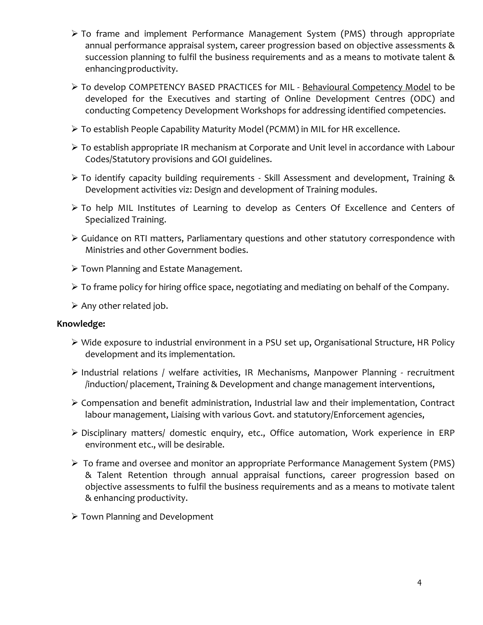- ➢ To frame and implement Performance Management System (PMS) through appropriate annual performance appraisal system, career progression based on objective assessments & succession planning to fulfil the business requirements and as a means to motivate talent & enhancingproductivity.
- ➢ To develop COMPETENCY BASED PRACTICES for MIL Behavioural Competency Model to be developed for the Executives and starting of Online Development Centres (ODC) and conducting Competency Development Workshops for addressing identified competencies.
- ➢ To establish People Capability Maturity Model (PCMM) in MIL for HR excellence.
- ➢ To establish appropriate IR mechanism at Corporate and Unit level in accordance with Labour Codes/Statutory provisions and GOI guidelines.
- ➢ To identify capacity building requirements Skill Assessment and development, Training & Development activities viz: Design and development of Training modules.
- ➢ To help MIL Institutes of Learning to develop as Centers Of Excellence and Centers of Specialized Training.
- ➢ Guidance on RTI matters, Parliamentary questions and other statutory correspondence with Ministries and other Government bodies.
- ➢ Town Planning and Estate Management.
- ➢ To frame policy for hiring office space, negotiating and mediating on behalf of the Company.
- ➢ Any other related job.

### **Knowledge:**

- ➢ Wide exposure to industrial environment in a PSU set up, Organisational Structure, HR Policy development and its implementation.
- ➢ Industrial relations / welfare activities, IR Mechanisms, Manpower Planning recruitment /induction/ placement, Training & Development and change management interventions,
- ➢ Compensation and benefit administration, Industrial law and their implementation, Contract labour management, Liaising with various Govt. and statutory/Enforcement agencies,
- ➢ Disciplinary matters/ domestic enquiry, etc., Office automation, Work experience in ERP environment etc., will be desirable.
- ➢ To frame and oversee and monitor an appropriate Performance Management System (PMS) & Talent Retention through annual appraisal functions, career progression based on objective assessments to fulfil the business requirements and as a means to motivate talent & enhancing productivity.
- ➢ Town Planning and Development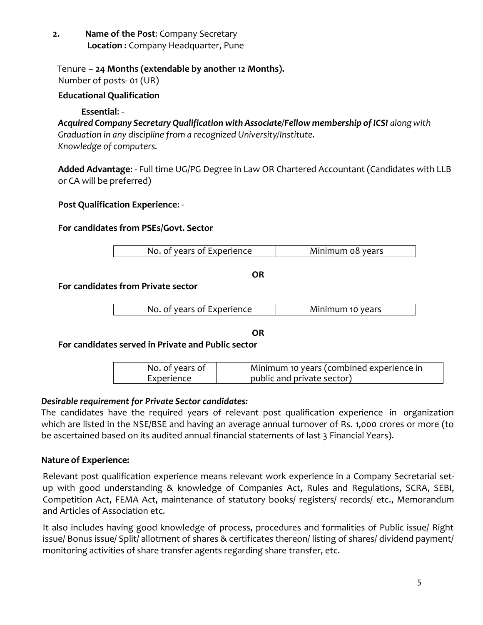Tenure – **24 Months (extendable by another 12 Months).** Number of posts- 01 (UR)

### **Educational Qualification**

### **Essential**: -

*Acquired Company Secretary Qualification with Associate/Fellow membership of ICSI along with Graduation in any discipline from a recognized University/Institute. Knowledge of computers.*

**Added Advantage**: - Full time UG/PG Degree in Law OR Chartered Accountant (Candidates with LLB or CA will be preferred)

### **Post Qualification Experience**: -

### **For candidates from PSEs/Govt. Sector**

| No. of years of Experience | Minimum 08 years |
|----------------------------|------------------|

**OR**

### **For candidates from Private sector**

| No. of years of Experience | Minimum 10 years |
|----------------------------|------------------|
|----------------------------|------------------|

**OR**

**For candidates served in Private and Public sector**

| No. of years of | Minimum 10 years (combined experience in |
|-----------------|------------------------------------------|
| Experience      | public and private sector)               |

# *Desirable requirement for Private Sector candidates:*

The candidates have the required years of relevant post qualification experience in organization which are listed in the NSE/BSE and having an average annual turnover of Rs. 1,000 crores or more (to be ascertained based on its audited annual financial statements of last 3 Financial Years).

### **Nature of Experience:**

Relevant post qualification experience means relevant work experience in a Company Secretarial setup with good understanding & knowledge of Companies Act, Rules and Regulations, SCRA, SEBI, Competition Act, FEMA Act, maintenance of statutory books/ registers/ records/ etc., Memorandum and Articles of Association etc.

It also includes having good knowledge of process, procedures and formalities of Public issue/ Right issue/ Bonus issue/ Split/ allotment of shares & certificates thereon/ listing of shares/ dividend payment/ monitoring activities of share transfer agents regarding share transfer, etc.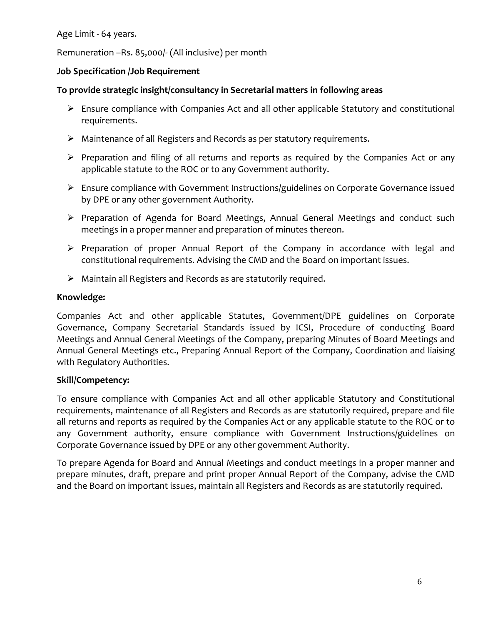Age Limit - 64 years.

Remuneration –Rs. 85,000/- (All inclusive) per month

### **Job Specification /Job Requirement**

### **To provide strategic insight/consultancy in Secretarial matters in following areas**

- $\triangleright$  Ensure compliance with Companies Act and all other applicable Statutory and constitutional requirements.
- ➢ Maintenance of all Registers and Records as per statutory requirements.
- ➢ Preparation and filing of all returns and reports as required by the Companies Act or any applicable statute to the ROC or to any Government authority.
- ➢ Ensure compliance with Government Instructions/guidelines on Corporate Governance issued by DPE or any other government Authority.
- ➢ Preparation of Agenda for Board Meetings, Annual General Meetings and conduct such meetings in a proper manner and preparation of minutes thereon.
- ➢ Preparation of proper Annual Report of the Company in accordance with legal and constitutional requirements. Advising the CMD and the Board on important issues.
- ➢ Maintain all Registers and Records as are statutorily required.

### **Knowledge:**

Companies Act and other applicable Statutes, Government/DPE guidelines on Corporate Governance, Company Secretarial Standards issued by ICSI, Procedure of conducting Board Meetings and Annual General Meetings of the Company, preparing Minutes of Board Meetings and Annual General Meetings etc., Preparing Annual Report of the Company, Coordination and liaising with Regulatory Authorities.

# **Skill/Competency:**

To ensure compliance with Companies Act and all other applicable Statutory and Constitutional requirements, maintenance of all Registers and Records as are statutorily required, prepare and file all returns and reports as required by the Companies Act or any applicable statute to the ROC or to any Government authority, ensure compliance with Government Instructions/guidelines on Corporate Governance issued by DPE or any other government Authority.

To prepare Agenda for Board and Annual Meetings and conduct meetings in a proper manner and prepare minutes, draft, prepare and print proper Annual Report of the Company, advise the CMD and the Board on important issues, maintain all Registers and Records as are statutorily required.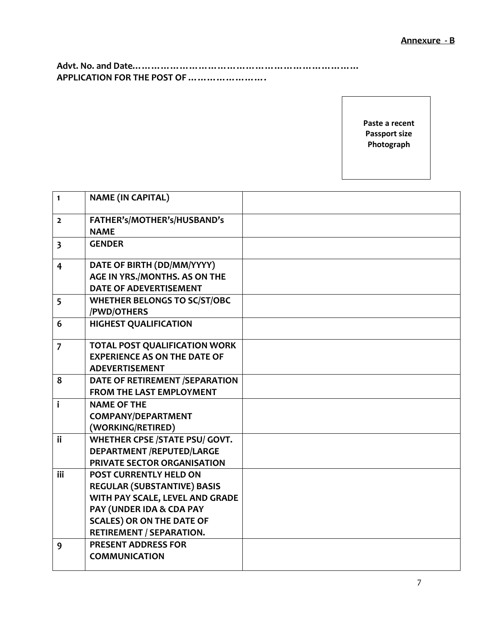**Advt. No. and Date……………………………………………………………… APPLICATION FOR THE POST OF …………………….**

> **Paste a recent Passport size Photograph**

| $\mathbf{1}$            | <b>NAME (IN CAPITAL)</b>              |  |
|-------------------------|---------------------------------------|--|
| $\mathbf{2}$            | FATHER's/MOTHER's/HUSBAND's           |  |
|                         | <b>NAME</b>                           |  |
| $\overline{\mathbf{3}}$ | <b>GENDER</b>                         |  |
|                         |                                       |  |
| $\overline{\mathbf{4}}$ | DATE OF BIRTH (DD/MM/YYYY)            |  |
|                         | AGE IN YRS./MONTHS. AS ON THE         |  |
|                         | <b>DATE OF ADEVERTISEMENT</b>         |  |
| 5                       | <b>WHETHER BELONGS TO SC/ST/OBC</b>   |  |
|                         | /PWD/OTHERS                           |  |
| 6                       | <b>HIGHEST QUALIFICATION</b>          |  |
|                         |                                       |  |
| $\overline{7}$          | TOTAL POST QUALIFICATION WORK         |  |
|                         | <b>EXPERIENCE AS ON THE DATE OF</b>   |  |
|                         | <b>ADEVERTISEMENT</b>                 |  |
| 8                       | DATE OF RETIREMENT /SEPARATION        |  |
|                         | <b>FROM THE LAST EMPLOYMENT</b>       |  |
| $\mathbf{i}$            | <b>NAME OF THE</b>                    |  |
|                         | <b>COMPANY/DEPARTMENT</b>             |  |
|                         | (WORKING/RETIRED)                     |  |
| ii                      | <b>WHETHER CPSE /STATE PSU/ GOVT.</b> |  |
|                         | <b>DEPARTMENT /REPUTED/LARGE</b>      |  |
|                         | PRIVATE SECTOR ORGANISATION           |  |
| iii                     | <b>POST CURRENTLY HELD ON</b>         |  |
|                         | <b>REGULAR (SUBSTANTIVE) BASIS</b>    |  |
|                         | WITH PAY SCALE, LEVEL AND GRADE       |  |
|                         | PAY (UNDER IDA & CDA PAY              |  |
|                         | <b>SCALES) OR ON THE DATE OF</b>      |  |
|                         | <b>RETIREMENT / SEPARATION.</b>       |  |
| 9                       | <b>PRESENT ADDRESS FOR</b>            |  |
|                         | <b>COMMUNICATION</b>                  |  |
|                         |                                       |  |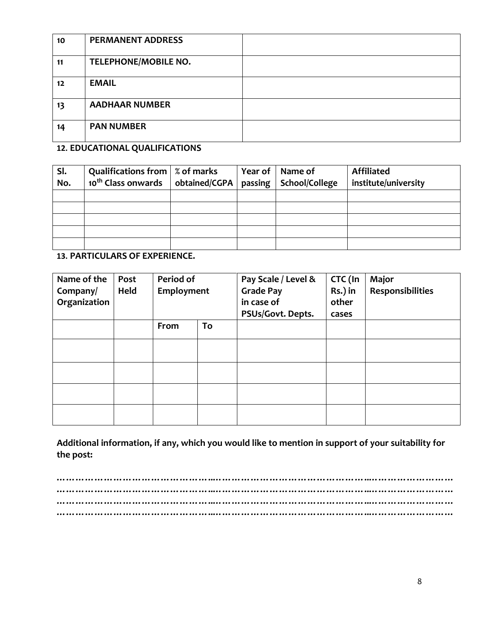| 10                | <b>PERMANENT ADDRESS</b> |  |
|-------------------|--------------------------|--|
| 11                | TELEPHONE/MOBILE NO.     |  |
| $12 \overline{ }$ | <b>EMAIL</b>             |  |
| 13                | <b>AADHAAR NUMBER</b>    |  |
| 14                | <b>PAN NUMBER</b>        |  |

### **12. EDUCATIONAL QUALIFICATIONS**

| SI. | Qualifications from $\mid$ % of marks |               | Year of $\vert$ | Name of        | <b>Affiliated</b>    |
|-----|---------------------------------------|---------------|-----------------|----------------|----------------------|
| No. | 10 <sup>th</sup> Class onwards        | obtained/CGPA | passing         | School/College | institute/university |
|     |                                       |               |                 |                |                      |
|     |                                       |               |                 |                |                      |
|     |                                       |               |                 |                |                      |
|     |                                       |               |                 |                |                      |
|     |                                       |               |                 |                |                      |

**13. PARTICULARS OF EXPERIENCE.**

| Name of the<br>Company/<br>Organization | Post<br>Held | Period of<br>Employment |    | Pay Scale / Level &<br><b>Grade Pay</b><br>in case of<br>PSUs/Govt. Depts. | CTC (In<br>Rs.) in<br>other<br>cases | Major<br><b>Responsibilities</b> |
|-----------------------------------------|--------------|-------------------------|----|----------------------------------------------------------------------------|--------------------------------------|----------------------------------|
|                                         |              | From                    | To |                                                                            |                                      |                                  |
|                                         |              |                         |    |                                                                            |                                      |                                  |
|                                         |              |                         |    |                                                                            |                                      |                                  |
|                                         |              |                         |    |                                                                            |                                      |                                  |
|                                         |              |                         |    |                                                                            |                                      |                                  |

**Additional information, if any, which you would like to mention in support of your suitability for the post:**

**…………………………………………..…………………………………………..……………………… …………………………………………..…………………………………………..……………………… …………………………………………..…………………………………………..……………………… …………………………………………..…………………………………………..………………………**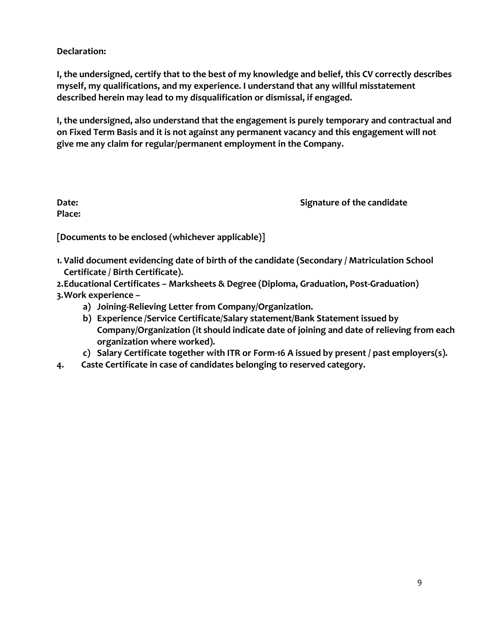**Declaration:**

**I, the undersigned, certify that to the best of my knowledge and belief, this CV correctly describes myself, my qualifications, and my experience. I understand that any willful misstatement described herein may lead to my disqualification or dismissal, if engaged.**

**I, the undersigned, also understand that the engagement is purely temporary and contractual and on Fixed Term Basis and it is not against any permanent vacancy and this engagement will not give me any claim for regular/permanent employment in the Company.**

**Place:**

**Date: Signature of the candidate Signature of the candidate** 

**[Documents to be enclosed (whichever applicable)]**

- **1. Valid document evidencing date of birth of the candidate (Secondary / Matriculation School Certificate / Birth Certificate).**
- **2.Educational Certificates – Marksheets & Degree (Diploma, Graduation, Post-Graduation) 3.Work experience –**
	- **a) Joining-Relieving Letter from Company/Organization.**
		- **b) Experience /Service Certificate**/**Salary statement/Bank Statement issued by Company/Organization (it should indicate date of joining and date of relieving from each organization where worked).**
		- **c) Salary Certificate together with ITR or Form-16 A issued by present / past employers(s).**
- **4. Caste Certificate in case of candidates belonging to reserved category.**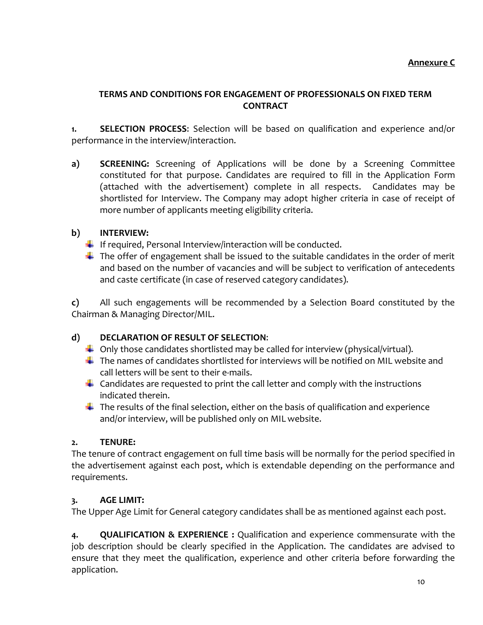### **Annexure C**

### **TERMS AND CONDITIONS FOR ENGAGEMENT OF PROFESSIONALS ON FIXED TERM CONTRACT**

**1. SELECTION PROCESS**: Selection will be based on qualification and experience and/or performance in the interview/interaction.

**a) SCREENING:** Screening of Applications will be done by a Screening Committee constituted for that purpose. Candidates are required to fill in the Application Form (attached with the advertisement) complete in all respects. Candidates may be shortlisted for Interview. The Company may adopt higher criteria in case of receipt of more number of applicants meeting eligibility criteria.

# **b) INTERVIEW:**

- $\downarrow$  If required, Personal Interview/interaction will be conducted.
- $\ddot{+}$  The offer of engagement shall be issued to the suitable candidates in the order of merit and based on the number of vacancies and will be subject to verification of antecedents and caste certificate (in case of reserved category candidates).

**c)** All such engagements will be recommended by a Selection Board constituted by the Chairman & Managing Director/MIL.

# **d) DECLARATION OF RESULT OF SELECTION**:

- $\downarrow$  Only those candidates shortlisted may be called for interview (physical/virtual).
- $\ddot{+}$  The names of candidates shortlisted for interviews will be notified on MIL website and call letters will be sent to their e-mails.
- $\downarrow$  Candidates are requested to print the call letter and comply with the instructions indicated therein.
- $\downarrow$  The results of the final selection, either on the basis of qualification and experience and/or interview, will be published only on MIL website.

# **2. TENURE:**

The tenure of contract engagement on full time basis will be normally for the period specified in the advertisement against each post, which is extendable depending on the performance and requirements.

# **3. AGE LIMIT:**

The Upper Age Limit for General category candidates shall be as mentioned against each post.

**4. QUALIFICATION & EXPERIENCE :** Qualification and experience commensurate with the job description should be clearly specified in the Application. The candidates are advised to ensure that they meet the qualification, experience and other criteria before forwarding the application.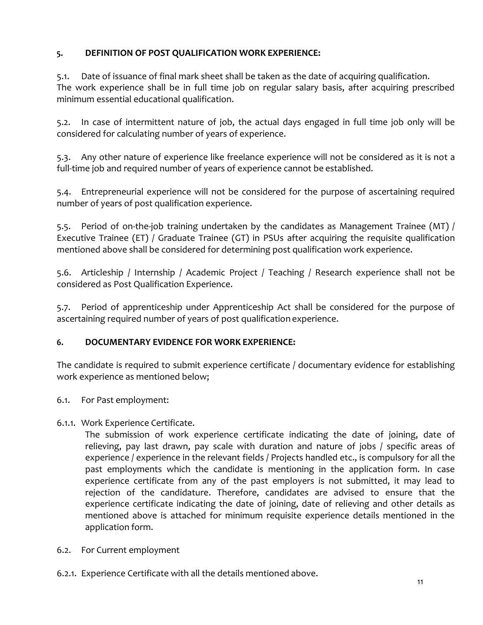# **5. DEFINITION OF POST QUALIFICATION WORK EXPERIENCE:**

5.1. Date of issuance of final mark sheet shall be taken as the date of acquiring qualification. The work experience shall be in full time job on regular salary basis, after acquiring prescribed minimum essential educational qualification.

5.2. In case of intermittent nature of job, the actual days engaged in full time job only will be considered for calculating number of years of experience.

5.3. Any other nature of experience like freelance experience will not be considered as it is not a full-time job and required number of years of experience cannot be established.

5.4. Entrepreneurial experience will not be considered for the purpose of ascertaining required number of years of post qualification experience.

5.5. Period of on-the-job training undertaken by the candidates as Management Trainee (MT) / Executive Trainee (ET) / Graduate Trainee (GT) in PSUs after acquiring the requisite qualification mentioned above shall be considered for determining post qualification work experience.

5.6. Articleship / Internship / Academic Project / Teaching / Research experience shall not be considered as Post Qualification Experience.

5.7. Period of apprenticeship under Apprenticeship Act shall be considered for the purpose of ascertaining required number of years of post qualification experience.

# **6. DOCUMENTARY EVIDENCE FOR WORK EXPERIENCE:**

The candidate is required to submit experience certificate / documentary evidence for establishing work experience as mentioned below;

- 6.1. For Past employment:
- 6.1.1. Work Experience Certificate.

The submission of work experience certificate indicating the date of joining, date of relieving, pay last drawn, pay scale with duration and nature of jobs / specific areas of experience / experience in the relevant fields / Projects handled etc., is compulsory for all the past employments which the candidate is mentioning in the application form. In case experience certificate from any of the past employers is not submitted, it may lead to rejection of the candidature. Therefore, candidates are advised to ensure that the experience certificate indicating the date of joining, date of relieving and other details as mentioned above is attached for minimum requisite experience details mentioned in the application form.

- 6.2. For Current employment
- 6.2.1. Experience Certificate with all the details mentioned above.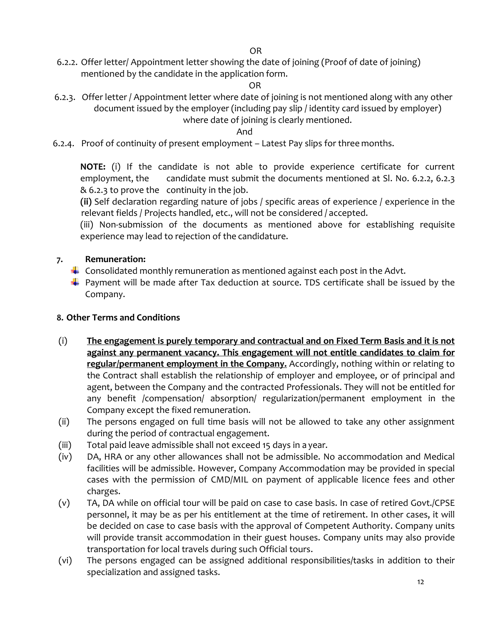6.2.2. Offer letter/ Appointment letter showing the date of joining (Proof of date of joining) mentioned by the candidate in the application form.

OR

 6.2.3. Offer letter / Appointment letter where date of joining is not mentioned along with any other document issued by the employer (including pay slip / identity card issued by employer) where date of joining is clearly mentioned.

And

6.2.4. Proof of continuity of present employment – Latest Pay slips for three months.

**NOTE:** (i) If the candidate is not able to provide experience certificate for current employment, the candidate must submit the documents mentioned at Sl. No. 6.2.2, 6.2.3 & 6.2.3 to prove the continuity in the job.

**(ii)** Self declaration regarding nature of jobs / specific areas of experience / experience in the relevant fields / Projects handled, etc., will not be considered / accepted.

(iii) Non-submission of the documents as mentioned above for establishing requisite experience may lead to rejection of the candidature.

# **7. Remuneration:**

- $\downarrow$  Consolidated monthly remuneration as mentioned against each post in the Advt.
- $\downarrow$  Payment will be made after Tax deduction at source. TDS certificate shall be issued by the Company.

# **8. Other Terms and Conditions**

- (i) **The engagement is purely temporary and contractual and on Fixed Term Basis and it is not against any permanent vacancy. This engagement will not entitle candidates to claim for regular/permanent employment in the Company.** Accordingly, nothing within or relating to the Contract shall establish the relationship of employer and employee, or of principal and agent, between the Company and the contracted Professionals. They will not be entitled for any benefit /compensation/ absorption/ regularization/permanent employment in the Company except the fixed remuneration.
- (ii) The persons engaged on full time basis will not be allowed to take any other assignment during the period of contractual engagement.
- (iii) Total paid leave admissible shall not exceed 15 days in a year.
- (iv) DA, HRA or any other allowances shall not be admissible. No accommodation and Medical facilities will be admissible. However, Company Accommodation may be provided in special cases with the permission of CMD/MIL on payment of applicable licence fees and other charges.
- (v) TA, DA while on official tour will be paid on case to case basis. In case of retired Govt./CPSE personnel, it may be as per his entitlement at the time of retirement. In other cases, it will be decided on case to case basis with the approval of Competent Authority. Company units will provide transit accommodation in their guest houses. Company units may also provide transportation for local travels during such Official tours.
- (vi) The persons engaged can be assigned additional responsibilities/tasks in addition to their specialization and assigned tasks.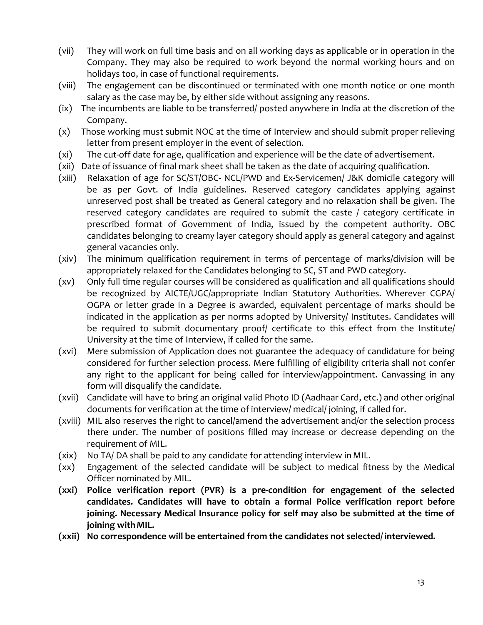- (vii) They will work on full time basis and on all working days as applicable or in operation in the Company. They may also be required to work beyond the normal working hours and on holidays too, in case of functional requirements.
- (viii) The engagement can be discontinued or terminated with one month notice or one month salary as the case may be, by either side without assigning any reasons.
- (ix) The incumbents are liable to be transferred/ posted anywhere in India at the discretion of the Company.
- (x) Those working must submit NOC at the time of Interview and should submit proper relieving letter from present employer in the event of selection.
- (xi) The cut-off date for age, qualification and experience will be the date of advertisement.
- (xii) Date of issuance of final mark sheet shall be taken as the date of acquiring qualification.
- (xiii) Relaxation of age for SC/ST/OBC- NCL/PWD and Ex-Servicemen/ J&K domicile category will be as per Govt. of India guidelines. Reserved category candidates applying against unreserved post shall be treated as General category and no relaxation shall be given. The reserved category candidates are required to submit the caste / category certificate in prescribed format of Government of India, issued by the competent authority. OBC candidates belonging to creamy layer category should apply as general category and against general vacancies only.
- (xiv) The minimum qualification requirement in terms of percentage of marks/division will be appropriately relaxed for the Candidates belonging to SC, ST and PWD category.
- (xv) Only full time regular courses will be considered as qualification and all qualifications should be recognized by AICTE/UGC/appropriate Indian Statutory Authorities. Wherever CGPA/ OGPA or letter grade in a Degree is awarded, equivalent percentage of marks should be indicated in the application as per norms adopted by University/ Institutes. Candidates will be required to submit documentary proof/ certificate to this effect from the Institute/ University at the time of Interview, if called for the same.
- (xvi) Mere submission of Application does not guarantee the adequacy of candidature for being considered for further selection process. Mere fulfilling of eligibility criteria shall not confer any right to the applicant for being called for interview/appointment. Canvassing in any form will disqualify the candidate.
- (xvii) Candidate will have to bring an original valid Photo ID (Aadhaar Card, etc.) and other original documents for verification at the time of interview/ medical/ joining, if called for.
- (xviii) MIL also reserves the right to cancel/amend the advertisement and/or the selection process there under. The number of positions filled may increase or decrease depending on the requirement of MIL.
- (xix) No TA/ DA shall be paid to any candidate for attending interview in MIL.
- (xx) Engagement of the selected candidate will be subject to medical fitness by the Medical Officer nominated by MIL.
- **(xxi) Police verification report (PVR) is a pre-condition for engagement of the selected candidates. Candidates will have to obtain a formal Police verification report before joining. Necessary Medical Insurance policy for self may also be submitted at the time of joining withMIL.**
- **(xxii) No correspondence will be entertained from the candidates not selected/ interviewed.**